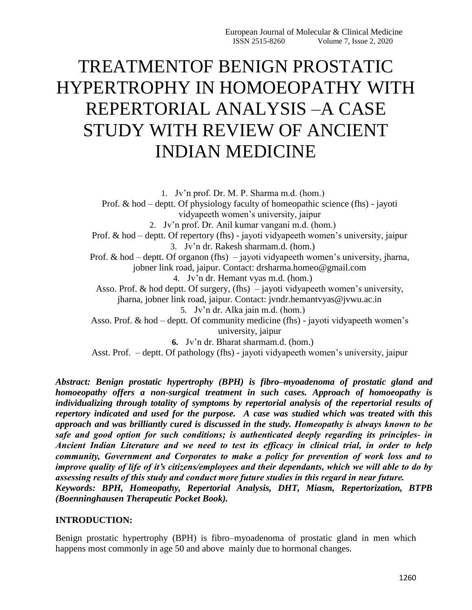# TREATMENTOF BENIGN PROSTATIC HYPERTROPHY IN HOMOEOPATHY WITH REPERTORIAL ANALYSIS –A CASE STUDY WITH REVIEW OF ANCIENT INDIAN MEDICINE

1. Jv'n prof. Dr. M. P. Sharma m.d. (hom.) Prof. & hod – deptt. Of physiology faculty of homeopathic science (fhs) - jayoti vidyapeeth women's university, jaipur 2. Jv'n prof. Dr. Anil kumar vangani m.d. (hom.) Prof. & hod – deptt. Of repertory (fhs) - jayoti vidyapeeth women's university, jaipur 3. Jv'n dr. Rakesh sharmam.d. (hom.) Prof. & hod – deptt. Of organon (fhs) – jayoti vidyapeeth women's university, jharna, jobner link road, jaipur. Contact: drsharma.homeo@gmail.com 4. Jv'n dr. Hemant vyas m.d. (hom.) Asso. Prof. & hod deptt. Of surgery, (fhs) – jayoti vidyapeeth women's university, jharna, jobner link road, jaipur. Contact: jvndr.hemantvyas@jvwu.ac.in 5. Jv'n dr. Alka jain m.d. (hom.) Asso. Prof. & hod – deptt. Of community medicine (fhs) - jayoti vidyapeeth women's university, jaipur **6.** Jv'n dr. Bharat sharmam.d. (hom.) Asst. Prof. – deptt. Of pathology (fhs) - jayoti vidyapeeth women's university, jaipur

*Abstract: Benign prostatic hypertrophy (BPH) is fibro–myoadenoma of prostatic gland and homoeopathy offers a non-surgical treatment in such cases. Approach of homoeopathy is individualizing through totality of symptoms by repertorial analysis of the repertorial results of repertory indicated and used for the purpose. A case was studied which was treated with this approach and was brilliantly cured is discussed in the study. Homeopathy is always known to be safe and good option for such conditions; is authenticated deeply regarding its principles- in Ancient Indian Literature and we need to test its efficacy in clinical trial, in order to help community, Government and Corporates to make a policy for prevention of work loss and to improve quality of life of it's citizens/employees and their dependants, which we will able to do by assessing results of this study and conduct more future studies in this regard in near future. Keywords: BPH, Homeopathy, Repertorial Analysis, DHT, Miasm, Repertorization, BTPB (Boenninghausen Therapeutic Pocket Book).*

#### **INTRODUCTION:**

Benign prostatic hypertrophy (BPH) is fibro–myoadenoma of prostatic gland in men which happens most commonly in age 50 and above mainly due to hormonal changes.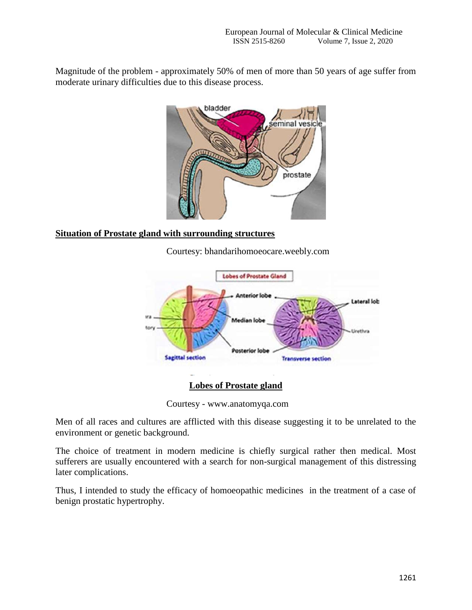Magnitude of the problem - approximately 50% of men of more than 50 years of age suffer from moderate urinary difficulties due to this disease process.



#### **Situation of Prostate gland with surrounding structures**

Courtesy: bhandarihomoeocare.weebly.com



Courtesy - www.anatomyqa.com

Men of all races and cultures are afflicted with this disease suggesting it to be unrelated to the environment or genetic background.

The choice of treatment in modern medicine is chiefly surgical rather then medical. Most sufferers are usually encountered with a search for non-surgical management of this distressing later complications.

Thus, I intended to study the efficacy of homoeopathic medicines in the treatment of a case of benign prostatic hypertrophy.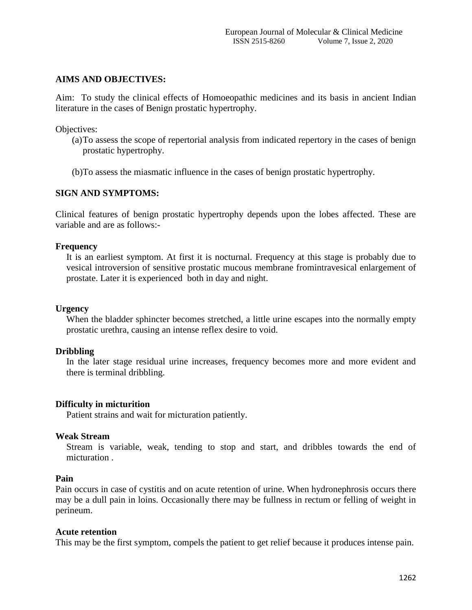#### **AIMS AND OBJECTIVES:**

Aim: To study the clinical effects of Homoeopathic medicines and its basis in ancient Indian literature in the cases of Benign prostatic hypertrophy.

Objectives:

- (a)To assess the scope of repertorial analysis from indicated repertory in the cases of benign prostatic hypertrophy.
- (b)To assess the miasmatic influence in the cases of benign prostatic hypertrophy.

#### **SIGN AND SYMPTOMS:**

Clinical features of benign prostatic hypertrophy depends upon the lobes affected. These are variable and are as follows:-

#### **Frequency**

It is an earliest symptom. At first it is nocturnal. Frequency at this stage is probably due to vesical introversion of sensitive prostatic mucous membrane fromintravesical enlargement of prostate. Later it is experienced both in day and night.

#### **Urgency**

When the bladder sphincter becomes stretched, a little urine escapes into the normally empty prostatic urethra, causing an intense reflex desire to void.

#### **Dribbling**

In the later stage residual urine increases, frequency becomes more and more evident and there is terminal dribbling.

#### **Difficulty in micturition**

Patient strains and wait for micturation patiently.

#### **Weak Stream**

Stream is variable, weak, tending to stop and start, and dribbles towards the end of micturation .

#### **Pain**

Pain occurs in case of cystitis and on acute retention of urine. When hydronephrosis occurs there may be a dull pain in loins. Occasionally there may be fullness in rectum or felling of weight in perineum.

#### **Acute retention**

This may be the first symptom, compels the patient to get relief because it produces intense pain.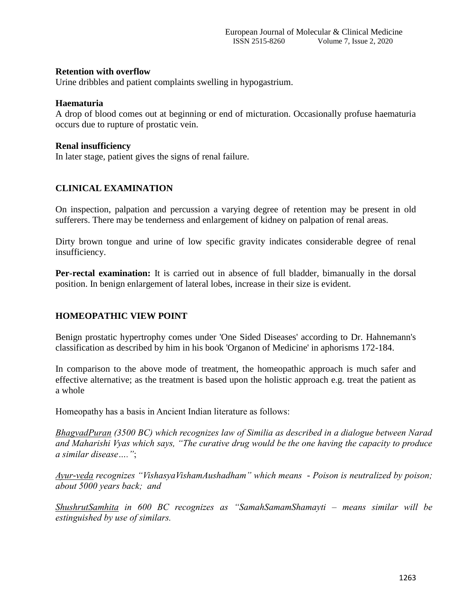#### **Retention with overflow**

Urine dribbles and patient complaints swelling in hypogastrium.

#### **Haematuria**

A drop of blood comes out at beginning or end of micturation. Occasionally profuse haematuria occurs due to rupture of prostatic vein.

#### **Renal insufficiency**

In later stage, patient gives the signs of renal failure.

#### **CLINICAL EXAMINATION**

On inspection, palpation and percussion a varying degree of retention may be present in old sufferers. There may be tenderness and enlargement of kidney on palpation of renal areas.

Dirty brown tongue and urine of low specific gravity indicates considerable degree of renal insufficiency.

**Per-rectal examination:** It is carried out in absence of full bladder, bimanually in the dorsal position. In benign enlargement of lateral lobes, increase in their size is evident.

#### **HOMEOPATHIC VIEW POINT**

Benign prostatic hypertrophy comes under 'One Sided Diseases' according to Dr. Hahnemann's classification as described by him in his book 'Organon of Medicine' in aphorisms 172-184.

In comparison to the above mode of treatment, the homeopathic approach is much safer and effective alternative; as the treatment is based upon the holistic approach e.g. treat the patient as a whole

Homeopathy has a basis in Ancient Indian literature as follows:

*BhagvadPuran (3500 BC) which recognizes law of Similia as described in a dialogue between Narad and Maharishi Vyas which says, "The curative drug would be the one having the capacity to produce a similar disease…."*;

*Ayur-veda recognizes "VishasyaVishamAushadham" which means - Poison is neutralized by poison; about 5000 years back; and* 

*ShushrutSamhita in 600 BC recognizes as "SamahSamamShamayti – means similar will be estinguished by use of similars.*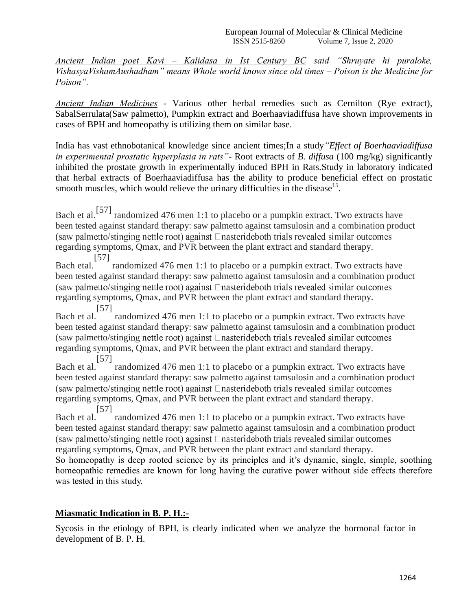*Ancient Indian poet Kavi – Kalidasa in Ist Century BC said "Shruyate hi puraloke, VishasyaVishamAushadham" means Whole world knows since old times – Poison is the Medicine for Poison".*

*Ancient Indian Medicines -* Various other herbal remedies such as Cernilton (Rye extract), SabalSerrulata(Saw palmetto), Pumpkin extract and Boerhaaviadiffusa have shown improvements in cases of BPH and homeopathy is utilizing them on similar base.

India has vast ethnobotanical knowledge since ancient times;In a study*"Effect of Boerhaaviadiffusa in experimental prostatic hyperplasia in rats"-* Root extracts of *B. diffusa* (100 mg/kg) significantly inhibited the prostate growth in experimentally induced BPH in Rats.Study in laboratory indicated that herbal extracts of Boerhaaviadiffusa has the ability to produce beneficial effect on prostatic smooth muscles, which would relieve the urinary difficulties in the disease<sup>15</sup>.

Bach et al.<sup>[57]</sup> randomized 476 men 1:1 to placebo or a pumpkin extract. Two extracts have been tested against standard therapy: saw palmetto against tamsulosin and a combination product (saw palmetto/stinging nettle root) against  $\Box$  nasterideboth trials revealed similar outcomes regarding symptoms, Qmax, and PVR between the plant extract and standard therapy.

[57] randomized 476 men 1:1 to placebo or a pumpkin extract. Two extracts have Bach etal. been tested against standard therapy: saw palmetto against tamsulosin and a combination product (saw palmetto/stinging nettle root) against **Inasterideboth** trials revealed similar outcomes regarding symptoms, Qmax, and PVR between the plant extract and standard therapy.

Bach et al. [57] randomized 476 men 1:1 to placebo or a pumpkin extract. Two extracts have been tested against standard therapy: saw palmetto against tamsulosin and a combination product (saw palmetto/stinging nettle root) against  $\Box$ nasterideboth trials revealed similar outcomes regarding symptoms, Qmax, and PVR between the plant extract and standard therapy. [57]

Bach et al. randomized 476 men 1:1 to placebo or a pumpkin extract. Two extracts have been tested against standard therapy: saw palmetto against tamsulosin and a combination product (saw palmetto/stinging nettle root) against  $\Box$ nasterideboth trials revealed similar outcomes regarding symptoms, Qmax, and PVR between the plant extract and standard therapy. [57]

Bach et al. randomized 476 men 1:1 to placebo or a pumpkin extract. Two extracts have been tested against standard therapy: saw palmetto against tamsulosin and a combination product (saw palmetto/stinging nettle root) against  $\Box$ nasterideboth trials revealed similar outcomes regarding symptoms, Qmax, and PVR between the plant extract and standard therapy.

So homeopathy is deep rooted science by its principles and it's dynamic, single, simple, soothing homeopathic remedies are known for long having the curative power without side effects therefore was tested in this study.

### **Miasmatic Indication in B. P. H.:-**

Sycosis in the etiology of BPH, is clearly indicated when we analyze the hormonal factor in development of B. P. H.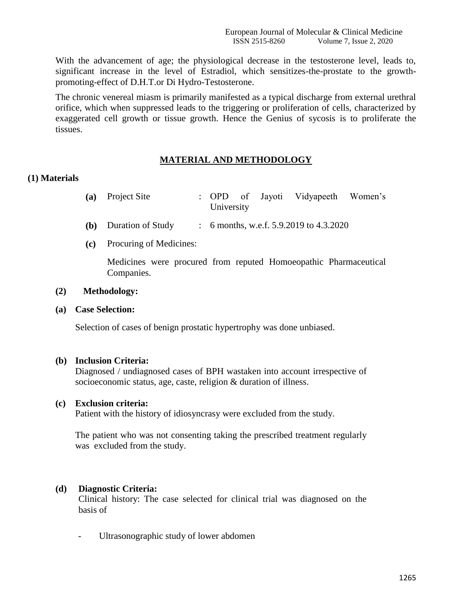With the advancement of age; the physiological decrease in the testosterone level, leads to, significant increase in the level of Estradiol, which sensitizes-the-prostate to the growthpromoting-effect of D.H.T.or Di Hydro-Testosterone.

The chronic venereal miasm is primarily manifested as a typical discharge from external urethral orifice, which when suppressed leads to the triggering or proliferation of cells, characterized by exaggerated cell growth or tissue growth. Hence the Genius of sycosis is to proliferate the tissues.

#### **MATERIAL AND METHODOLOGY**

#### **(1) Materials**

| (a) Project Site |            |  | : OPD of Jayoti Vidyapeeth Women's |  |
|------------------|------------|--|------------------------------------|--|
|                  | University |  |                                    |  |

- **(b)** Duration of Study : 6 months, w.e.f. 5.9.2019 to 4.3.2020
- **(c)** Procuring of Medicines:

Medicines were procured from reputed Homoeopathic Pharmaceutical Companies.

#### **(2) Methodology:**

**(a) Case Selection:**

Selection of cases of benign prostatic hypertrophy was done unbiased.

#### **(b) Inclusion Criteria:**

Diagnosed / undiagnosed cases of BPH wastaken into account irrespective of socioeconomic status, age, caste, religion & duration of illness.

#### **(c) Exclusion criteria:**

Patient with the history of idiosyncrasy were excluded from the study.

The patient who was not consenting taking the prescribed treatment regularly was excluded from the study.

#### **(d) Diagnostic Criteria:**

Clinical history: The case selected for clinical trial was diagnosed on the basis of

Ultrasonographic study of lower abdomen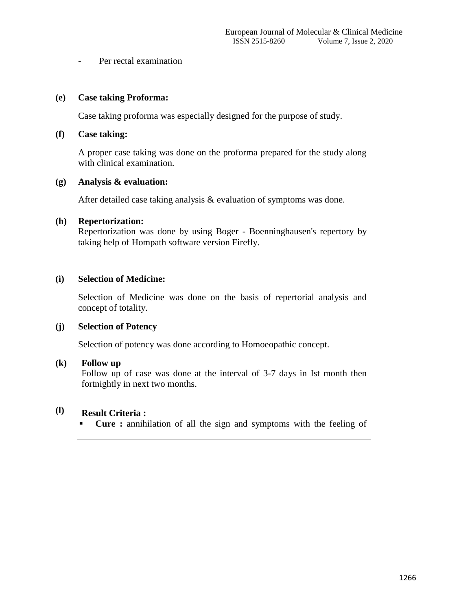- Per rectal examination

#### **(e) Case taking Proforma:**

Case taking proforma was especially designed for the purpose of study.

#### **(f) Case taking:**

A proper case taking was done on the proforma prepared for the study along with clinical examination.

#### **(g) Analysis & evaluation:**

After detailed case taking analysis & evaluation of symptoms was done.

#### **(h) Repertorization:**

Repertorization was done by using Boger - Boenninghausen's repertory by taking help of Hompath software version Firefly.

#### **(i) Selection of Medicine:**

Selection of Medicine was done on the basis of repertorial analysis and concept of totality.

#### **(j) Selection of Potency**

Selection of potency was done according to Homoeopathic concept.

#### **(k) Follow up**

Follow up of case was done at the interval of 3-7 days in Ist month then fortnightly in next two months.

#### **(l) Result Criteria :**

**Cure :** annihilation of all the sign and symptoms with the feeling of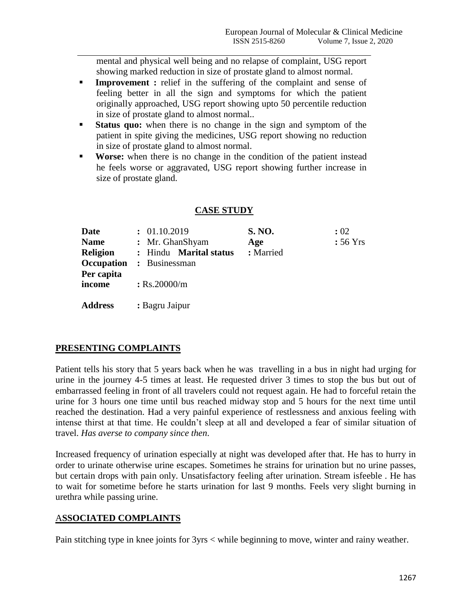mental and physical well being and no relapse of complaint, USG report showing marked reduction in size of prostate gland to almost normal.

- **Improvement :** relief in the suffering of the complaint and sense of feeling better in all the sign and symptoms for which the patient originally approached, USG report showing upto 50 percentile reduction in size of prostate gland to almost normal..
- **Status quo:** when there is no change in the sign and symptom of the patient in spite giving the medicines, USG report showing no reduction in size of prostate gland to almost normal.
- **Worse:** when there is no change in the condition of the patient instead he feels worse or aggravated, USG report showing further increase in size of prostate gland.

| <b>Date</b>          | : 01.10.2019           | <b>S. NO.</b> | : 02               |
|----------------------|------------------------|---------------|--------------------|
| <b>Name</b>          | : Mr. GhanShyam        | Age           | $: 56 \text{ Yrs}$ |
| <b>Religion</b>      | : Hindu Marital status | : Married     |                    |
| Occupation           | : Businessman          |               |                    |
| Per capita<br>income | $:$ Rs.20000/m         |               |                    |
| <b>Address</b>       | : Bagru Jaipur         |               |                    |

### **CASE STUDY**

### **PRESENTING COMPLAINTS**

Patient tells his story that 5 years back when he was travelling in a bus in night had urging for urine in the journey 4-5 times at least. He requested driver 3 times to stop the bus but out of embarrassed feeling in front of all travelers could not request again. He had to forceful retain the urine for 3 hours one time until bus reached midway stop and 5 hours for the next time until reached the destination. Had a very painful experience of restlessness and anxious feeling with intense thirst at that time. He couldn't sleep at all and developed a fear of similar situation of travel. *Has averse to company since then*.

Increased frequency of urination especially at night was developed after that. He has to hurry in order to urinate otherwise urine escapes. Sometimes he strains for urination but no urine passes, but certain drops with pain only. Unsatisfactory feeling after urination. Stream isfeeble . He has to wait for sometime before he starts urination for last 9 months. Feels very slight burning in urethra while passing urine.

### A**SSOCIATED COMPLAINTS**

Pain stitching type in knee joints for 3yrs < while beginning to move, winter and rainy weather.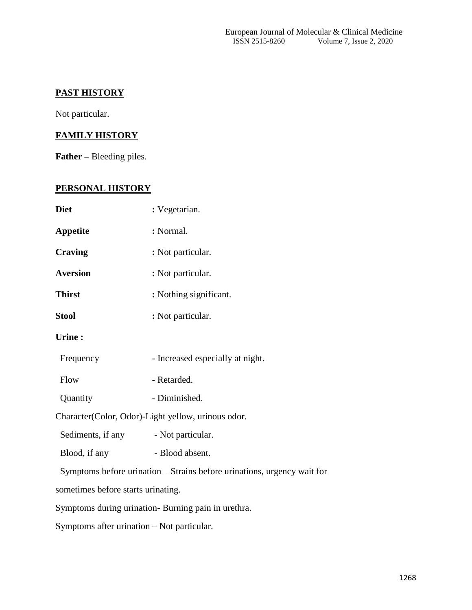### **PAST HISTORY**

Not particular.

### **FAMILY HISTORY**

**Father –** Bleeding piles.

## **PERSONAL HISTORY**

| <b>Diet</b>                                | : Vegetarian.                                                           |  |  |
|--------------------------------------------|-------------------------------------------------------------------------|--|--|
| <b>Appetite</b>                            | : Normal.                                                               |  |  |
| <b>Craving</b>                             | : Not particular.                                                       |  |  |
| <b>Aversion</b>                            | : Not particular.                                                       |  |  |
| <b>Thirst</b>                              | : Nothing significant.                                                  |  |  |
| <b>Stool</b>                               | : Not particular.                                                       |  |  |
| <b>Urine:</b>                              |                                                                         |  |  |
| Frequency                                  | - Increased especially at night.                                        |  |  |
| Flow                                       | - Retarded.                                                             |  |  |
| Quantity                                   | - Diminished.                                                           |  |  |
|                                            | Character(Color, Odor)-Light yellow, urinous odor.                      |  |  |
| Sediments, if any                          | - Not particular.                                                       |  |  |
| Blood, if any                              | - Blood absent.                                                         |  |  |
|                                            | Symptoms before urination - Strains before urinations, urgency wait for |  |  |
| sometimes before starts urinating.         |                                                                         |  |  |
|                                            | Symptoms during urination- Burning pain in urethra.                     |  |  |
| Symptoms after urination - Not particular. |                                                                         |  |  |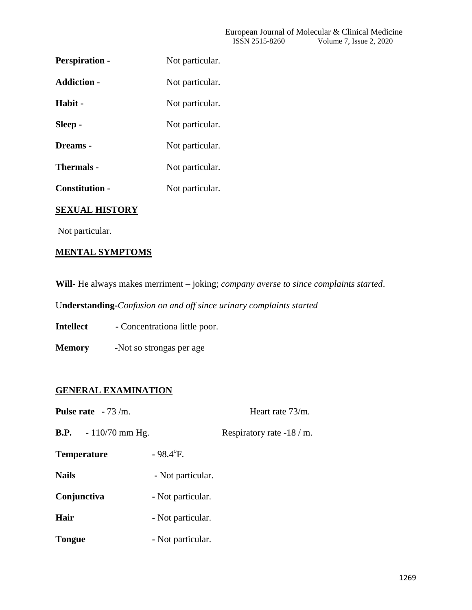| <b>Perspiration -</b> | Not particular. |
|-----------------------|-----------------|
| <b>Addiction -</b>    | Not particular. |
| Habit -               | Not particular. |
| Sleep -               | Not particular. |
| Dreams -              | Not particular. |
| <b>Thermals -</b>     | Not particular. |
| <b>Constitution -</b> | Not particular. |
|                       |                 |

### **SEXUAL HISTORY**

Not particular.

### **MENTAL SYMPTOMS**

**Will-** He always makes merriment – joking; *company averse to since complaints started*.

U**nderstanding-***Confusion on and off since urinary complaints started*

**Intellect** - Concentrationa little poor.

**Memory -**Not so strongas per age

### **GENERAL EXAMINATION**

| <b>Pulse rate</b> $-73/m$ .  | Heart rate 73/m.        |                            |
|------------------------------|-------------------------|----------------------------|
| <b>B.P.</b> $-110/70$ mm Hg. |                         | Respiratory rate $-18/m$ . |
| <b>Temperature</b>           | $-98.4$ <sup>o</sup> F. |                            |
| <b>Nails</b>                 | - Not particular.       |                            |
| Conjunctiva                  | - Not particular.       |                            |
| Hair                         | - Not particular.       |                            |
| <b>Tongue</b>                | - Not particular.       |                            |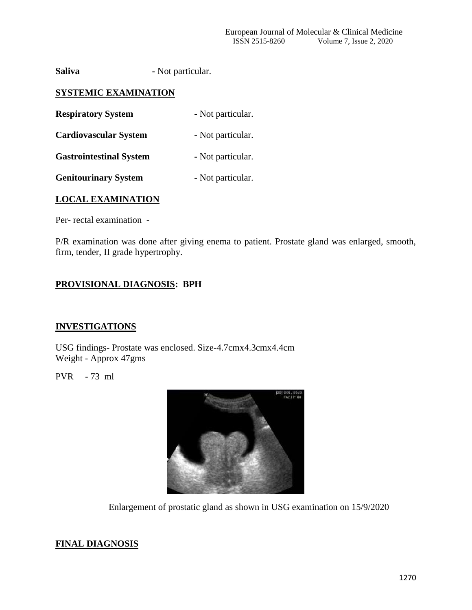**Saliva** - Not particular.

#### **SYSTEMIC EXAMINATION**

| <b>Respiratory System</b>      | - Not particular. |
|--------------------------------|-------------------|
| <b>Cardiovascular System</b>   | - Not particular. |
| <b>Gastrointestinal System</b> | - Not particular. |

**Genitourinary System -** Not particular.

#### **LOCAL EXAMINATION**

Per- rectal examination -

P/R examination was done after giving enema to patient. Prostate gland was enlarged, smooth, firm, tender, II grade hypertrophy.

### **PROVISIONAL DIAGNOSIS: BPH**

#### **INVESTIGATIONS**

USG findings- Prostate was enclosed. Size-4.7cmx4.3cmx4.4cm Weight - Approx 47gms

PVR - 73 ml



Enlargement of prostatic gland as shown in USG examination on 15/9/2020

#### **FINAL DIAGNOSIS**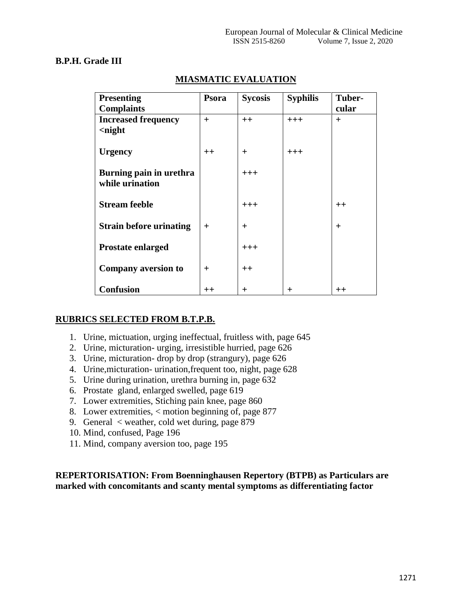#### **B.P.H. Grade III**

| <b>Presenting</b>              | Psora            | <b>Sycosis</b> | <b>Syphilis</b> | Tuber-           |
|--------------------------------|------------------|----------------|-----------------|------------------|
| <b>Complaints</b>              |                  |                |                 | cular            |
| <b>Increased frequency</b>     | $+$              | $++$           | $+++$           | $+$              |
| $\langle$ night                |                  |                |                 |                  |
|                                |                  |                |                 |                  |
| <b>Urgency</b>                 | $++$             | $^{+}$         | $+++$           |                  |
|                                |                  |                |                 |                  |
| Burning pain in urethra        |                  | $+++$          |                 |                  |
| while urination                |                  |                |                 |                  |
|                                |                  |                |                 |                  |
| <b>Stream feeble</b>           |                  | $+++$          |                 | $++$             |
|                                |                  |                |                 |                  |
| <b>Strain before urinating</b> | $^{+}$           | $^{+}$         |                 | $^{+}$           |
|                                |                  |                |                 |                  |
| <b>Prostate enlarged</b>       |                  | $+++$          |                 |                  |
|                                |                  |                |                 |                  |
|                                |                  |                |                 |                  |
| <b>Company aversion to</b>     | $\overline{+}$   | $++$           |                 |                  |
|                                |                  |                |                 |                  |
| <b>Confusion</b>               | $^{\mathrm{++}}$ | $\pm$          | $\pm$           | $^{\mathrm{++}}$ |

## **MIASMATIC EVALUATION**

### **RUBRICS SELECTED FROM B.T.P.B.**

- 1. Urine, mictuation, urging ineffectual, fruitless with, page 645
- 2. Urine, micturation- urging, irresistible hurried, page 626
- 3. Urine, micturation- drop by drop (strangury), page 626
- 4. Urine,micturation- urination,frequent too, night, page 628
- 5. Urine during urination, urethra burning in, page 632
- 6. Prostate gland, enlarged swelled, page 619
- 7. Lower extremities, Stiching pain knee, page 860
- 8. Lower extremities, < motion beginning of, page 877
- 9. General < weather, cold wet during, page 879
- 10. Mind, confused, Page 196
- 11. Mind, company aversion too, page 195

#### **REPERTORISATION: From Boenninghausen Repertory (BTPB) as Particulars are marked with concomitants and scanty mental symptoms as differentiating factor**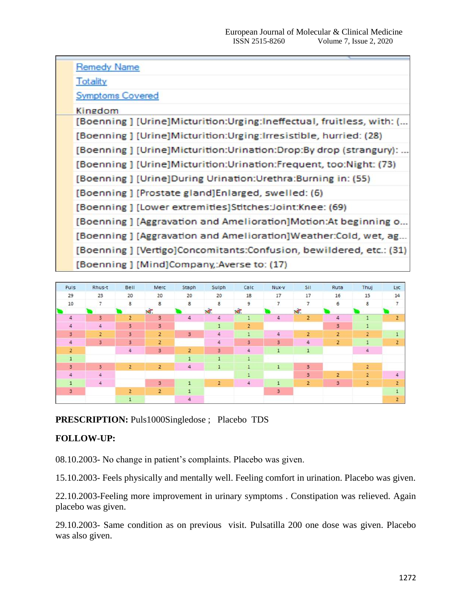|  | <b>Remedy Name</b>                                                    |
|--|-----------------------------------------------------------------------|
|  | <b>Totality</b>                                                       |
|  | <b>Symptoms Covered</b>                                               |
|  | Kingdom                                                               |
|  | [Boenning] [Urine]Micturition:Urging:Ineffectual, fruitless, with: (  |
|  | [Boenning ] [Urine]Micturition:Urging:Irresistible, hurried: (28)     |
|  | [Boenning] [Urine] Micturition: Urination: Drop: By drop (strangury): |
|  | [Boenning] [Urine] Micturition: Urination: Frequent, too: Night: (73) |
|  | [Boenning] [Urine]During Urination:Urethra:Burning in: (55)           |
|  | [Boenning] [Prostate gland] Enlarged, swelled: (6)                    |
|  | [Boenning] [Lower extremities]Stitches:Joint:Knee: (69)               |
|  | [Boenning] [Aggravation and Amelioration]Motion:At beginning o        |
|  | [Boenning] [Aggravation and Amelioration]Weather:Cold, wet, ag        |
|  | [Boenning ] [Vertigo]Concomitants:Confusion, bewildered, etc.: (31)   |
|  | [Boenning] [Mind]Company,:Averse to: (17)                             |
|  |                                                                       |



### **PRESCRIPTION:** Puls1000Singledose ; Placebo TDS

### **FOLLOW-UP:**

08.10.2003- No change in patient's complaints. Placebo was given.

15.10.2003- Feels physically and mentally well. Feeling comfort in urination. Placebo was given.

22.10.2003-Feeling more improvement in urinary symptoms . Constipation was relieved. Again placebo was given.

29.10.2003- Same condition as on previous visit. Pulsatilla 200 one dose was given. Placebo was also given.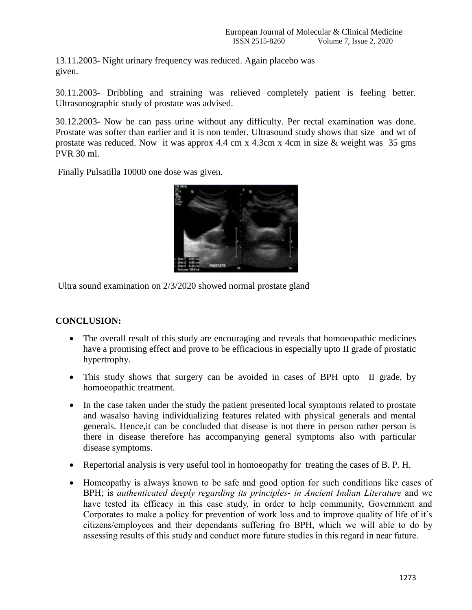13.11.2003- Night urinary frequency was reduced. Again placebo was given.

30.11.2003- Dribbling and straining was relieved completely patient is feeling better. Ultrasonographic study of prostate was advised.

30.12.2003- Now he can pass urine without any difficulty. Per rectal examination was done. Prostate was softer than earlier and it is non tender. Ultrasound study shows that size and wt of prostate was reduced. Now it was approx 4.4 cm x 4.3cm x 4cm in size & weight was 35 gms PVR 30 ml.

Finally Pulsatilla 10000 one dose was given.



Ultra sound examination on 2/3/2020 showed normal prostate gland

### **CONCLUSION:**

- The overall result of this study are encouraging and reveals that homoeopathic medicines have a promising effect and prove to be efficacious in especially upto II grade of prostatic hypertrophy.
- This study shows that surgery can be avoided in cases of BPH upto II grade, by homoeopathic treatment.
- In the case taken under the study the patient presented local symptoms related to prostate and wasalso having individualizing features related with physical generals and mental generals. Hence,it can be concluded that disease is not there in person rather person is there in disease therefore has accompanying general symptoms also with particular disease symptoms.
- Repertorial analysis is very useful tool in homoeopathy for treating the cases of B. P. H.
- Homeopathy is always known to be safe and good option for such conditions like cases of BPH; is *authenticated deeply regarding its principles- in Ancient Indian Literature* and we have tested its efficacy in this case study, in order to help community, Government and Corporates to make a policy for prevention of work loss and to improve quality of life of it's citizens/employees and their dependants suffering fro BPH, which we will able to do by assessing results of this study and conduct more future studies in this regard in near future.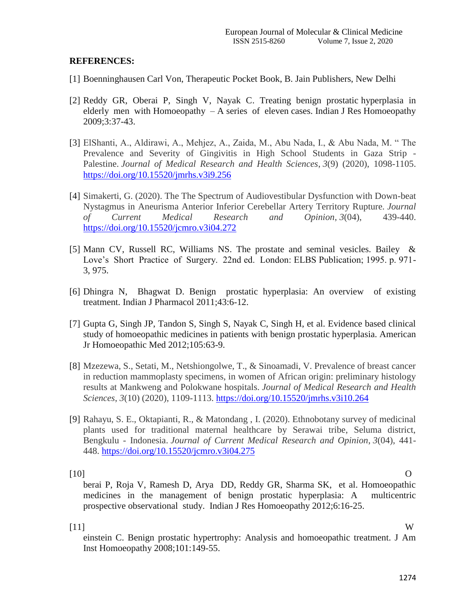#### **REFERENCES:**

- [1] Boenninghausen Carl Von, Therapeutic Pocket Book, B. Jain Publishers, New Delhi
- [2] Reddy GR, Oberai P, Singh V, Nayak C. Treating benign prostatic hyperplasia in elderly men with Homoeopathy – A series of eleven cases. Indian J Res Homoeopathy 2009;3:37-43.
- [3] ElShanti, A., Aldirawi, A., Mehjez, A., Zaida, M., Abu Nada, I., & Abu Nada, M. " The Prevalence and Severity of Gingivitis in High School Students in Gaza Strip - Palestine. *Journal of Medical Research and Health Sciences*, *3*(9) (2020), 1098-1105. <https://doi.org/10.15520/jmrhs.v3i9.256>
- [4] Simakerti, G. (2020). The The Spectrum of Audiovestibular Dysfunction with Down-beat Nystagmus in Aneurisma Anterior Inferior Cerebellar Artery Territory Rupture. *Journal of Current Medical Research and Opinion*, *3*(04), 439-440. <https://doi.org/10.15520/jcmro.v3i04.272>
- [5] Mann CV, Russell RC, Williams NS. The prostate and seminal vesicles. Bailey & Love's Short Practice of Surgery. 22nd ed. London: ELBS Publication; 1995. p. 971- 3, 975.
- [6] Dhingra N, Bhagwat D. Benign prostatic hyperplasia: An overview of existing treatment. Indian J Pharmacol 2011;43:6-12.
- [7] Gupta G, Singh JP, Tandon S, Singh S, Nayak C, Singh H, et al. Evidence based clinical study of homoeopathic medicines in patients with benign prostatic hyperplasia. American Jr Homoeopathic Med 2012;105:63-9.
- [8] Mzezewa, S., Setati, M., Netshiongolwe, T., & Sinoamadi, V. Prevalence of breast cancer in reduction mammoplasty specimens, in women of African origin: preliminary histology results at Mankweng and Polokwane hospitals. *Journal of Medical Research and Health Sciences*, *3*(10) (2020), 1109-1113.<https://doi.org/10.15520/jmrhs.v3i10.264>
- [9] Rahayu, S. E., Oktapianti, R., & Matondang , I. (2020). Ethnobotany survey of medicinal plants used for traditional maternal healthcare by Serawai tribe, Seluma district, Bengkulu - Indonesia. *Journal of Current Medical Research and Opinion*, *3*(04), 441- 448.<https://doi.org/10.15520/jcmro.v3i04.275>

[10] O berai P, Roja V, Ramesh D, Arya DD, Reddy GR, Sharma SK, et al. Homoeopathic medicines in the management of benign prostatic hyperplasia: A multicentric prospective observational study. Indian J Res Homoeopathy 2012;6:16-25.

[11] W

einstein C. Benign prostatic hypertrophy: Analysis and homoeopathic treatment. J Am Inst Homoeopathy 2008;101:149-55.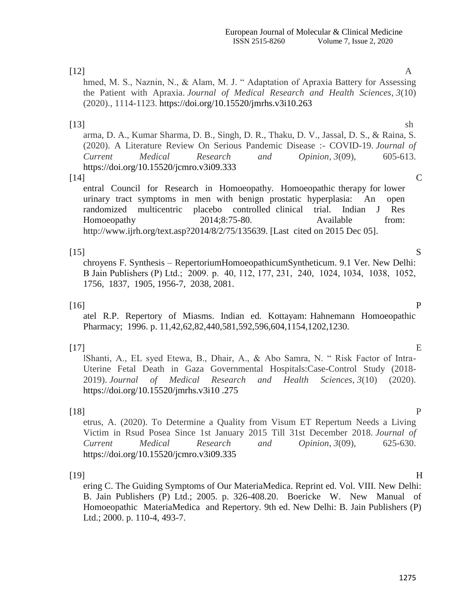#### $[12]$  A

hmed, M. S., Naznin, N., & Alam, M. J. "Adaptation of Apraxia Battery for Assessing the Patient with Apraxia. *Journal of Medical Research and Health Sciences*, *3*(10) (2020)., 1114-1123. https://doi.org/10.15520/jmrhs.v3i10.263

#### $[13]$  sh

arma, D. A., Kumar Sharma, D. B., Singh, D. R., Thaku, D. V., Jassal, D. S., & Raina, S. (2020). A Literature Review On Serious Pandemic Disease :- COVID-19. *Journal of Current Medical Research and Opinion*, *3*(09), 605-613. https://doi.org/10.15520/jcmro.v3i09.333

#### $[14]$  C

entral Council for Research in Homoeopathy. Homoeopathic therapy for lower urinary tract symptoms in men with benign prostatic hyperplasia: An open randomized multicentric placebo controlled clinical trial. Indian J Res Homoeopathy 2014;8:75-80. Available from: http://www.ijrh.org/text.asp?2014/8/2/75/135639. [Last cited on 2015 Dec 05].

#### $[15]$  S

chroyens F. Synthesis – RepertoriumHomoeopathicumSyntheticum. 9.1 Ver. New Delhi: B Jain Publishers (P) Ltd.; 2009.  p. 40, 112, 177, 231, 240, 1024, 1034, 1038, 1052, 1756, 1837, 1905, 1956-7, 2038, 2081.

 $[16]$  P atel R.P. Repertory of Miasms. Indian ed. Kottayam: Hahnemann Homoeopathic Pharmacy; 1996. p. 11,42,62,82,440,581,592,596,604,1154,1202,1230.

 $[17]$  E lShanti, A., EL syed Etewa, B., Dhair, A., & Abo Samra, N. " Risk Factor of Intra-Uterine Fetal Death in Gaza Governmental Hospitals:Case-Control Study (2018- 2019). *Journal of Medical Research and Health Sciences*, *3*(10) (2020). https://doi.org/10.15520/jmrhs.v3i10 .275

[18] P etrus, A. (2020). To Determine a Quality from Visum ET Repertum Needs a Living Victim in Rsud Posea Since 1st January 2015 Till 31st December 2018. *Journal of Current Medical Research and Opinion*, *3*(09), 625-630. https://doi.org/10.15520/jcmro.v3i09.335

#### $[19]$  H

ering C. The Guiding Symptoms of Our MateriaMedica. Reprint ed. Vol. VIII. New Delhi: B. Jain Publishers (P) Ltd.; 2005. p. 326-408.20. Boericke W. New Manual of Homoeopathic MateriaMedica and Repertory. 9th ed. New Delhi: B. Jain Publishers (P) Ltd.; 2000. p. 110-4, 493-7.

1275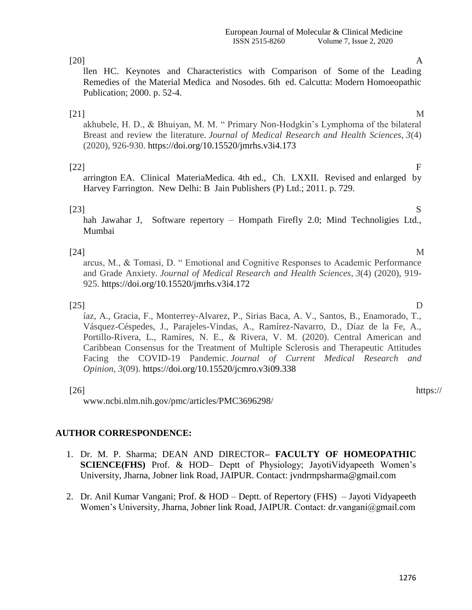### [20] A

llen HC. Keynotes and Characteristics with Comparison of Some of the Leading Remedies of the Material Medica and Nosodes. 6th ed. Calcutta: Modern Homoeopathic Publication; 2000. p. 52-4.

[21] M akhubele, H. D., & Bhuiyan, M. M. " Primary Non-Hodgkin's Lymphoma of the bilateral Breast and review the literature. *Journal of Medical Research and Health Sciences*, *3*(4) (2020), 926-930. https://doi.org/10.15520/jmrhs.v3i4.173

### $[22]$

arrington EA. Clinical MateriaMedica. 4th ed., Ch. LXXII. Revised and enlarged by Harvey Farrington. New Delhi: B Jain Publishers (P) Ltd.; 2011. p. 729.

### $[23]$  S

hah Jawahar J, Software repertory – Hompath Firefly 2.0; Mind Technoligies Ltd., Mumbai

[24] M arcus, M., & Tomasi, D. " Emotional and Cognitive Responses to Academic Performance and Grade Anxiety. *Journal of Medical Research and Health Sciences*, *3*(4) (2020), 919- 925. https://doi.org/10.15520/jmrhs.v3i4.172

 $[25]$  D íaz, A., Gracia, F., Monterrey-Alvarez, P., Sirias Baca, A. V., Santos, B., Enamorado, T., Vásquez-Céspedes, J., Parajeles-Vindas, A., Ramírez-Navarro, D., Díaz de la Fe, A., Portillo-Rivera, L., Ramíres, N. E., & Rivera, V. M. (2020). Central American and Caribbean Consensus for the Treatment of Multiple Sclerosis and Therapeutic Attitudes Facing the COVID-19 Pandemic. *Journal of Current Medical Research and Opinion*, *3*(09). https://doi.org/10.15520/jcmro.v3i09.338

www.ncbi.nlm.nih.gov/pmc/articles/PMC3696298/

### **AUTHOR CORRESPONDENCE:**

- 1. Dr. M. P. Sharma; DEAN AND DIRECTOR**– FACULTY OF HOMEOPATHIC SCIENCE(FHS)** Prof. & HOD– Deptt of Physiology; JayotiVidyapeeth Women's University, Jharna, Jobner link Road, JAIPUR. Contact: jvndrmpsharma@gmail.com
- 2. Dr. Anil Kumar Vangani; Prof. & HOD Deptt. of Repertory (FHS) Jayoti Vidyapeeth Women's University, Jharna, Jobner link Road, JAIPUR. Contact: dr.vangani@gmail.com

# [26] https://